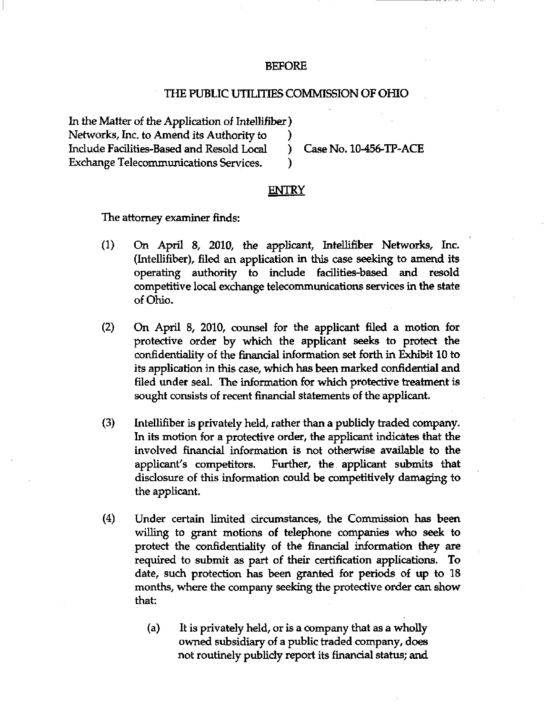## BEFORE

## THE PUBLIC UTILITIES COMMISSION OF OHIO

In the Matter of the Application of Intellifiber ) Networks, Inc. to Amend its Authority to (a)<br>Include Facilities-Based and Resold Local (b) Include Facilities-Based and Resold Local ) Case No. 10-456-TP-ACE Exchange Telecommunications Services.

## ENTRY

The attomey examiner finds:

- (1) On April 8, 2010, the applicant, Intellifiber Networks, Inc. (Intellifiber), filed an application in this case seeking to amend its operating authority to include facilities-based and resold competitive local exchange telecommunications services in the state of Ohio.
- (2) On April 8, 2010, counsel for the applicant filed a motion for protective order by which the applicant seeks to protect the confidentiality of the finandal information set forth in Exhibit 10 to its application in this case, which has been marked confidential and filed under seal. The information for which protective treatment is sought consists of recent financial statements of the applicant.
- (3) Intellifiber is privately held, rather than a publidy traded company. In its motion for a protective order, the applicant indicates that the involved financial information is not otherwise available to the applicant's competitors. Further, the applicant submits that disdosure of this information could be competitively damaging to the applicant.
- (4) Under certain limited circumstances, the Commission has been willing to grant motions of telephone companies who seek to protect the confidentiality of the financial information they are required to submit as part of their certification applications. To date, such protection has been granted for periods of up to 18 months, where the company seeking the protective order can show that:
	- (a) It is privately held, or is a company that as a wholly owned subsidiary of a public traded company, does not routinely publicly report its financial status; and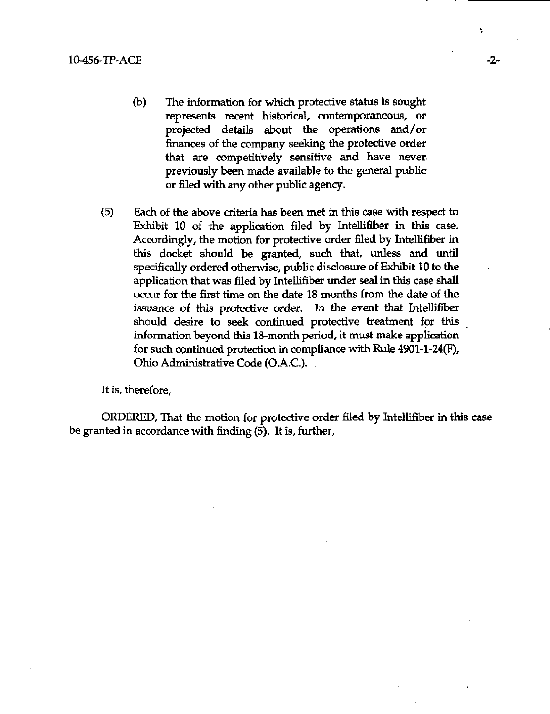- (b) The information for which protective status is sought represents recent historical, contemporaneous, or projected details about the operations and/or finances of the company seeking the protective order that are competitively sensitive and have never previously been made available to the general public or filed with any other public agency.
- (5) Each of the above criteria has been met in this case with respect to Exhibit 10 of the application filed by Intellifiber in this case. Accordingly, the motion for protective order filed by Intellifiber in this docket should be granted, such that, unless and until specifically ordered otherwise, public disclosure of Exhibit 10 to the application that was filed by Intellifiber under seal in this case shall occur for the first time on the date 18 months from the date of the issuance of this protective order. In the event that Intellifiber should desire to seek continued protective treatment for this information beyond this 18-month period, it must make application for such continued protection in compliance with Rule 4901-1-24(F), Ohio Administrative Code (O.A.C).

It is, therefore,

ORDERED, That the motion for protective order filed by Intellifiber in this case be granted in accordance with finding (5). It is, further.